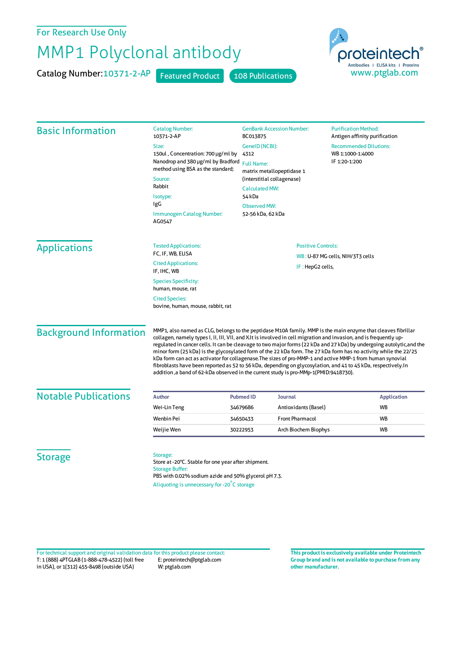For Research Use Only

## MMP1 Polyclonal antibody

Catalog Number: 10371-2-AP Featured Product 108 Publications



| <b>Basic Information</b>      | <b>Catalog Number:</b><br>10371-2-AP                                                                                                                                                                                                                                                                                                                                                                                                                                                                                                                                                                                                                                                                                                                                                                   | <b>GenBank Accession Number:</b><br>BC013875                                                           | <b>Purification Method:</b><br>Antigen affinity purification       |
|-------------------------------|--------------------------------------------------------------------------------------------------------------------------------------------------------------------------------------------------------------------------------------------------------------------------------------------------------------------------------------------------------------------------------------------------------------------------------------------------------------------------------------------------------------------------------------------------------------------------------------------------------------------------------------------------------------------------------------------------------------------------------------------------------------------------------------------------------|--------------------------------------------------------------------------------------------------------|--------------------------------------------------------------------|
|                               | Size:<br>150ul, Concentration: 700 µg/ml by<br>Nanodrop and 380 µg/ml by Bradford<br>method using BSA as the standard;<br>Source:                                                                                                                                                                                                                                                                                                                                                                                                                                                                                                                                                                                                                                                                      | GenelD (NCBI):<br>4312<br><b>Full Name:</b><br>matrix metallopeptidase 1<br>(interstitial collagenase) | <b>Recommended Dilutions:</b><br>WB 1:1000-1:4000<br>IF 1:20-1:200 |
|                               | Rabbit<br>Isotype:<br>IgG<br>Immunogen Catalog Number:<br>AG0547                                                                                                                                                                                                                                                                                                                                                                                                                                                                                                                                                                                                                                                                                                                                       | <b>Calculated MW:</b><br>54 kDa<br><b>Observed MW:</b><br>52-56 kDa, 62 kDa                            |                                                                    |
| <b>Applications</b>           | <b>Tested Applications:</b><br>FC, IF, WB, ELISA                                                                                                                                                                                                                                                                                                                                                                                                                                                                                                                                                                                                                                                                                                                                                       | <b>Positive Controls:</b><br>WB: U-87 MG cells, NIH/3T3 cells<br>IF: HepG2 cells,                      |                                                                    |
|                               | <b>Cited Applications:</b><br>IF, IHC, WB                                                                                                                                                                                                                                                                                                                                                                                                                                                                                                                                                                                                                                                                                                                                                              |                                                                                                        |                                                                    |
|                               | <b>Species Specificity:</b><br>human, mouse, rat<br><b>Cited Species:</b><br>bovine, human, mouse, rabbit, rat                                                                                                                                                                                                                                                                                                                                                                                                                                                                                                                                                                                                                                                                                         |                                                                                                        |                                                                    |
| <b>Background Information</b> | MMP1, also named as CLG, belongs to the peptidase M10A family. MMP is the main enzyme that cleaves fibrillar<br>collagen, namely types I, II, III, VII, and X.It is involved in cell migration and invasion, and is frequently up-<br>regulated in cancer cells. It can be cleavage to two major forms (22 kDa and 27 kDa) by undergoing autolytic,and the<br>minor form (25 kDa) is the glycosylated form of the 22 kDa form. The 27 kDa form has no activity while the 22/25<br>kDa form can act as activator for collagenase. The sizes of pro-MMP-1 and active MMP-1 from human synovial<br>fibroblasts have been reported as 52 to 56 kDa, depending on glycosylation, and 41 to 45 kDa, respectively. In<br>addition, a band of 62-kDa observed in the current study is pro-MMp-1(PMID:9418730). |                                                                                                        |                                                                    |
| <b>Notable Publications</b>   | <b>Author</b>                                                                                                                                                                                                                                                                                                                                                                                                                                                                                                                                                                                                                                                                                                                                                                                          | <b>Pubmed ID</b><br>Journal                                                                            | <b>Application</b>                                                 |
|                               | Wei-Lin Teng                                                                                                                                                                                                                                                                                                                                                                                                                                                                                                                                                                                                                                                                                                                                                                                           | 34679686<br>Antioxidants (Basel)                                                                       | <b>WB</b>                                                          |
|                               | Wenbin Pei                                                                                                                                                                                                                                                                                                                                                                                                                                                                                                                                                                                                                                                                                                                                                                                             | <b>Front Pharmacol</b><br>34650433                                                                     | WB                                                                 |
|                               | Weijie Wen                                                                                                                                                                                                                                                                                                                                                                                                                                                                                                                                                                                                                                                                                                                                                                                             | Arch Biochem Biophys<br>30222953                                                                       | <b>WB</b>                                                          |
| <b>Storage</b>                | Storage:<br>Store at -20°C. Stable for one year after shipment.<br><b>Storage Buffer:</b><br>PBS with 0.02% sodium azide and 50% glycerol pH 7.3.<br>Aliquoting is unnecessary for -20°C storage                                                                                                                                                                                                                                                                                                                                                                                                                                                                                                                                                                                                       |                                                                                                        |                                                                    |

T: 1 (888) 4PTGLAB (1-888-478-4522) (toll free in USA), or 1(312) 455-8498 (outside USA) E: proteintech@ptglab.com W: ptglab.com Fortechnical support and original validation data forthis product please contact: **This productis exclusively available under Proteintech**

**Group brand and is not available to purchase from any other manufacturer.**